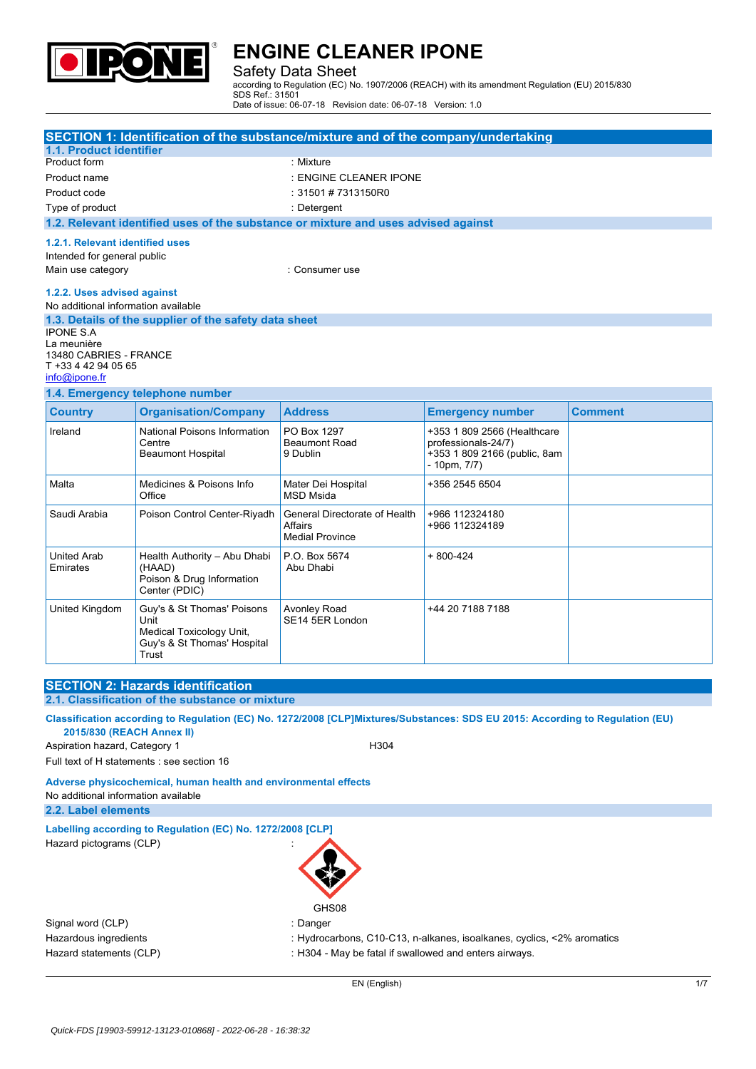

### Safety Data Sheet

according to Regulation (EC) No. 1907/2006 (REACH) with its amendment Regulation (EU) 2015/830 SDS Ref.: 31501

Date of issue: 06-07-18 Revision date: 06-07-18 Version: 1.0

| SECTION 1: Identification of the substance/mixture and of the company/undertaking                 |                                                                                                        |                                                                    |                                                                                                         |                |  |  |
|---------------------------------------------------------------------------------------------------|--------------------------------------------------------------------------------------------------------|--------------------------------------------------------------------|---------------------------------------------------------------------------------------------------------|----------------|--|--|
| 1.1. Product identifier                                                                           |                                                                                                        |                                                                    |                                                                                                         |                |  |  |
| Product form                                                                                      |                                                                                                        |                                                                    | : Mixture                                                                                               |                |  |  |
| Product name                                                                                      |                                                                                                        | : ENGINE CLEANER IPONE                                             |                                                                                                         |                |  |  |
| Product code                                                                                      |                                                                                                        | : 31501 # 7313150R0                                                |                                                                                                         |                |  |  |
| Type of product                                                                                   |                                                                                                        | : Detergent                                                        |                                                                                                         |                |  |  |
|                                                                                                   | 1.2. Relevant identified uses of the substance or mixture and uses advised against                     |                                                                    |                                                                                                         |                |  |  |
| 1.2.1. Relevant identified uses<br>Intended for general public<br>Main use category               |                                                                                                        | : Consumer use                                                     |                                                                                                         |                |  |  |
| 1.2.2. Uses advised against<br>No additional information available                                |                                                                                                        |                                                                    |                                                                                                         |                |  |  |
| <b>IPONE S.A</b><br>La meunière<br>13480 CABRIES - FRANCE<br>T +33 4 42 94 05 65<br>info@ipone.fr | 1.3. Details of the supplier of the safety data sheet                                                  |                                                                    |                                                                                                         |                |  |  |
|                                                                                                   | 1.4. Emergency telephone number                                                                        |                                                                    |                                                                                                         |                |  |  |
| <b>Country</b>                                                                                    | <b>Organisation/Company</b>                                                                            | <b>Address</b>                                                     | <b>Emergency number</b>                                                                                 | <b>Comment</b> |  |  |
| Ireland                                                                                           | National Poisons Information<br>Centre<br><b>Beaumont Hospital</b>                                     | PO Box 1297<br><b>Beaumont Road</b><br>9 Dublin                    | +353 1 809 2566 (Healthcare<br>professionals-24/7)<br>+353 1 809 2166 (public, 8am<br>$-10$ pm, $7/7$ ) |                |  |  |
| Malta                                                                                             | Medicines & Poisons Info<br>Office                                                                     | Mater Dei Hospital<br><b>MSD Msida</b>                             | +356 2545 6504                                                                                          |                |  |  |
| Saudi Arabia                                                                                      | Poison Control Center-Riyadh                                                                           | General Directorate of Health<br>Affairs<br><b>Medial Province</b> | +966 112324180<br>+966 112324189                                                                        |                |  |  |
| <b>United Arab</b><br>Emirates                                                                    | Health Authority - Abu Dhabi<br>(HAAD)<br>Poison & Drug Information<br>Center (PDIC)                   | P.O. Box 5674<br>Abu Dhabi                                         | $+800-424$                                                                                              |                |  |  |
| United Kingdom                                                                                    | Guy's & St Thomas' Poisons<br>Unit<br>Medical Toxicology Unit,<br>Guy's & St Thomas' Hospital<br>Trust | <b>Avonley Road</b><br>SE14 5ER London                             | +44 20 7188 7188                                                                                        |                |  |  |

# **SECTION 2: Hazards identification 2.1. Classification of the substance or mixture** Classification according to Regulation (EC) No. 1272/2008 [CLP]Mixtures/Substances: SDS EU 2015: According to Regulation (EU) **2015/830 (REACH Annex II)** Aspiration hazard, Category 1 distribution of the H304 Full text of H statements : see section 16 **Adverse physicochemical, human health and environmental effects** No additional information available **2.2. Label elements Labelling according to Regulation** (EC) No. 1272/2008 [CLP] Hazard pictograms (CLP) : GHS08 Signal word (CLP) **in the set of the CLP** of the Signal word (CLP) **in the Signal word (CLP**)

Hazardous ingredients : Hydrocarbons, C10-C13, n-alkanes, isoalkanes, cyclics, <2% aromatics

Hazard statements (CLP)  $\qquad \qquad$ : H304 - May be fatal if swallowed and enters airways.

EN (English) 1/7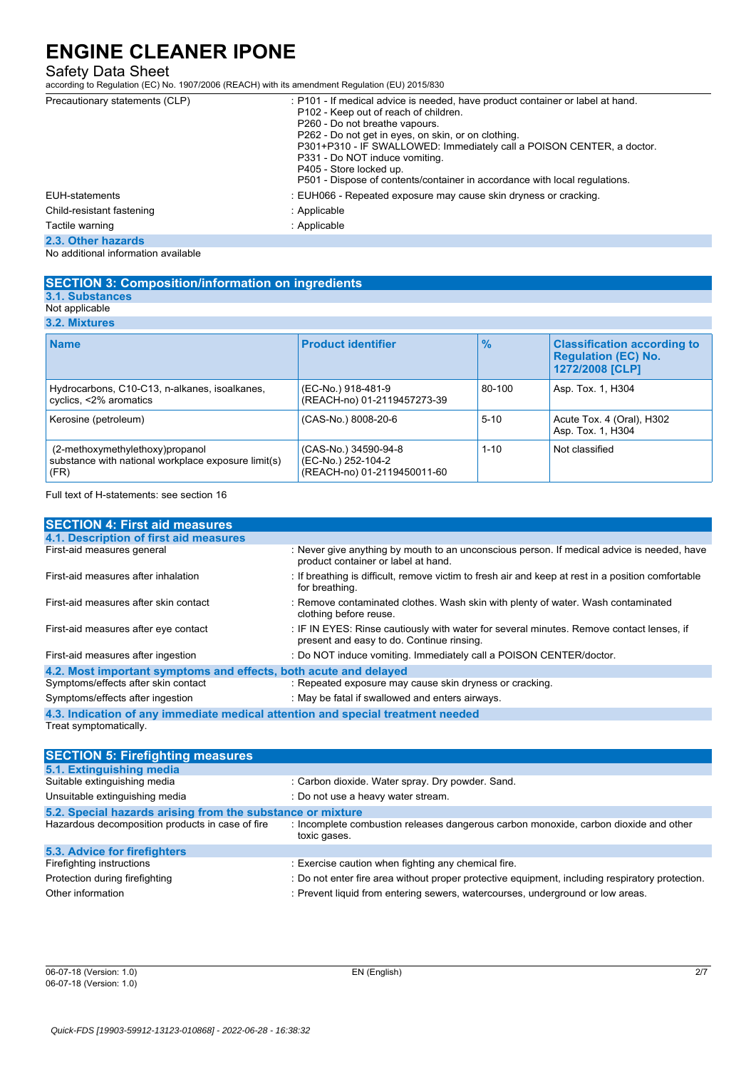### Safety Data Sheet

according to Regulation (EC) No. 1907/2006 (REACH) with its amendment Regulation (EU) 2015/830

| Precautionary statements (CLP)      | : P101 - If medical advice is needed, have product container or label at hand. |
|-------------------------------------|--------------------------------------------------------------------------------|
|                                     | P102 - Keep out of reach of children.                                          |
|                                     | P260 - Do not breathe vapours.                                                 |
|                                     | P262 - Do not get in eyes, on skin, or on clothing.                            |
|                                     | P301+P310 - IF SWALLOWED: Immediately call a POISON CENTER, a doctor.          |
|                                     | P331 - Do NOT induce vomiting.                                                 |
|                                     | P405 - Store locked up.                                                        |
|                                     | P501 - Dispose of contents/container in accordance with local regulations.     |
| <b>EUH-statements</b>               | : EUH066 - Repeated exposure may cause skin dryness or cracking.               |
| Child-resistant fastening           | : Applicable                                                                   |
| Tactile warning                     | : Applicable                                                                   |
| 2.3. Other hazards                  |                                                                                |
| No additional information available |                                                                                |

### **SECTION 3: Composition/information on ingredients**

#### **3.1. Substances** Not applicable

**3.2. Mixtures**

| <b>J.A. MIALUIGO</b>                                                                           |                                                                           |               |                                                                                     |
|------------------------------------------------------------------------------------------------|---------------------------------------------------------------------------|---------------|-------------------------------------------------------------------------------------|
| <b>Name</b>                                                                                    | <b>Product identifier</b>                                                 | $\frac{9}{6}$ | <b>Classification according to</b><br><b>Requlation (EC) No.</b><br>1272/2008 [CLP] |
| Hydrocarbons, C10-C13, n-alkanes, isoalkanes,<br>cyclics, <2% aromatics                        | (EC-No.) 918-481-9<br>(REACH-no) 01-2119457273-39                         | 80-100        | Asp. Tox. 1, H304                                                                   |
| Kerosine (petroleum)                                                                           | (CAS-No.) 8008-20-6                                                       | $5 - 10$      | Acute Tox. 4 (Oral), H302<br>Asp. Tox. 1, H304                                      |
| (2-methoxymethylethoxy)propanol<br>substance with national workplace exposure limit(s)<br>(FR) | (CAS-No.) 34590-94-8<br>(EC-No.) 252-104-2<br>(REACH-no) 01-2119450011-60 | $1 - 10$      | Not classified                                                                      |

Full text of H-statements: see section 16

| <b>SECTION 4: First aid measures</b>                                            |                                                                                                                                       |  |
|---------------------------------------------------------------------------------|---------------------------------------------------------------------------------------------------------------------------------------|--|
| 4.1. Description of first aid measures                                          |                                                                                                                                       |  |
| First-aid measures general                                                      | : Never give anything by mouth to an unconscious person. If medical advice is needed, have<br>product container or label at hand.     |  |
| First-aid measures after inhalation                                             | : If breathing is difficult, remove victim to fresh air and keep at rest in a position comfortable<br>for breathing.                  |  |
| First-aid measures after skin contact                                           | : Remove contaminated clothes. Wash skin with plenty of water. Wash contaminated<br>clothing before reuse.                            |  |
| First-aid measures after eye contact                                            | : IF IN EYES: Rinse cautiously with water for several minutes. Remove contact lenses, if<br>present and easy to do. Continue rinsing. |  |
| First-aid measures after ingestion                                              | : Do NOT induce vomiting. Immediately call a POISON CENTER/doctor.                                                                    |  |
| 4.2. Most important symptoms and effects, both acute and delayed                |                                                                                                                                       |  |
| Symptoms/effects after skin contact                                             | : Repeated exposure may cause skin dryness or cracking.                                                                               |  |
| Symptoms/effects after ingestion                                                | : May be fatal if swallowed and enters airways.                                                                                       |  |
| 4.3. Indication of any immediate medical attention and special treatment needed |                                                                                                                                       |  |

Treat symptomatically.

| <b>SECTION 5: Firefighting measures</b>                    |                                                                                                      |
|------------------------------------------------------------|------------------------------------------------------------------------------------------------------|
| 5.1. Extinguishing media                                   |                                                                                                      |
| Suitable extinguishing media                               | : Carbon dioxide. Water spray. Dry powder. Sand.                                                     |
| Unsuitable extinguishing media                             | : Do not use a heavy water stream.                                                                   |
| 5.2. Special hazards arising from the substance or mixture |                                                                                                      |
| Hazardous decomposition products in case of fire           | : Incomplete combustion releases dangerous carbon monoxide, carbon dioxide and other<br>toxic gases. |
| 5.3. Advice for firefighters                               |                                                                                                      |
| Firefighting instructions                                  | : Exercise caution when fighting any chemical fire.                                                  |
| Protection during firefighting                             | : Do not enter fire area without proper protective equipment, including respiratory protection.      |
| Other information                                          | : Prevent liquid from entering sewers, watercourses, underground or low areas.                       |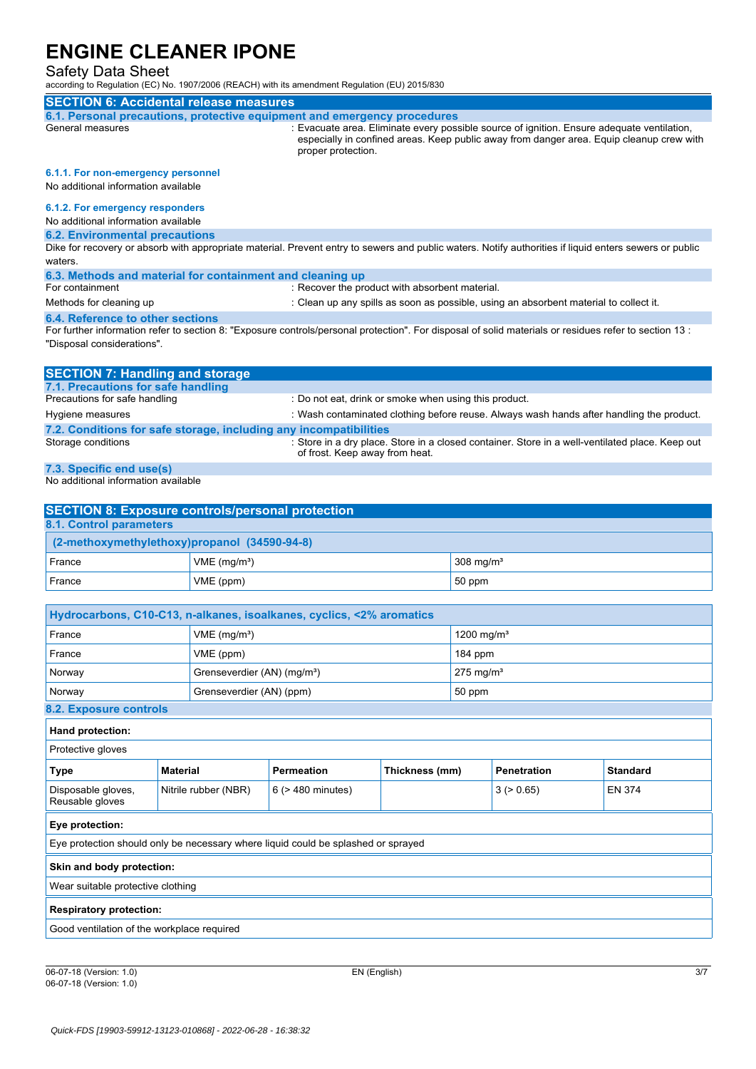## Safety Data Sheet

| raiviy Duiu Onovi<br>according to Regulation (EC) No. 1907/2006 (REACH) with its amendment Regulation (EU) 2015/830                                                                                        |                                                |                                         |                                                                      |                 |                         |                                                                                                 |  |
|------------------------------------------------------------------------------------------------------------------------------------------------------------------------------------------------------------|------------------------------------------------|-----------------------------------------|----------------------------------------------------------------------|-----------------|-------------------------|-------------------------------------------------------------------------------------------------|--|
| <b>SECTION 6: Accidental release measures</b>                                                                                                                                                              |                                                |                                         |                                                                      |                 |                         |                                                                                                 |  |
| 6.1. Personal precautions, protective equipment and emergency procedures<br>General measures                                                                                                               |                                                |                                         |                                                                      |                 |                         | : Evacuate area. Eliminate every possible source of ignition. Ensure adequate ventilation,      |  |
|                                                                                                                                                                                                            |                                                |                                         | proper protection.                                                   |                 |                         | especially in confined areas. Keep public away from danger area. Equip cleanup crew with        |  |
| 6.1.1. For non-emergency personnel<br>No additional information available                                                                                                                                  |                                                |                                         |                                                                      |                 |                         |                                                                                                 |  |
| 6.1.2. For emergency responders<br>No additional information available                                                                                                                                     |                                                |                                         |                                                                      |                 |                         |                                                                                                 |  |
| <b>6.2. Environmental precautions</b><br>Dike for recovery or absorb with appropriate material. Prevent entry to sewers and public waters. Notify authorities if liquid enters sewers or public<br>waters. |                                                |                                         |                                                                      |                 |                         |                                                                                                 |  |
| 6.3. Methods and material for containment and cleaning up                                                                                                                                                  |                                                |                                         |                                                                      |                 |                         |                                                                                                 |  |
| For containment<br>Methods for cleaning up                                                                                                                                                                 |                                                |                                         | : Recover the product with absorbent material.                       |                 |                         |                                                                                                 |  |
| 6.4. Reference to other sections                                                                                                                                                                           |                                                |                                         |                                                                      |                 |                         | : Clean up any spills as soon as possible, using an absorbent material to collect it.           |  |
| For further information refer to section 8: "Exposure controls/personal protection". For disposal of solid materials or residues refer to section 13:<br>"Disposal considerations".                        |                                                |                                         |                                                                      |                 |                         |                                                                                                 |  |
| <b>SECTION 7: Handling and storage</b>                                                                                                                                                                     |                                                |                                         |                                                                      |                 |                         |                                                                                                 |  |
| 7.1. Precautions for safe handling<br>Precautions for safe handling                                                                                                                                        |                                                |                                         | : Do not eat, drink or smoke when using this product.                |                 |                         |                                                                                                 |  |
| Hygiene measures                                                                                                                                                                                           |                                                |                                         |                                                                      |                 |                         | : Wash contaminated clothing before reuse. Always wash hands after handling the product.        |  |
| 7.2. Conditions for safe storage, including any incompatibilities                                                                                                                                          |                                                |                                         |                                                                      |                 |                         |                                                                                                 |  |
| Storage conditions                                                                                                                                                                                         |                                                |                                         | of frost. Keep away from heat.                                       |                 |                         | : Store in a dry place. Store in a closed container. Store in a well-ventilated place. Keep out |  |
| 7.3. Specific end use(s)<br>No additional information available                                                                                                                                            |                                                |                                         |                                                                      |                 |                         |                                                                                                 |  |
| <b>SECTION 8: Exposure controls/personal protection</b>                                                                                                                                                    |                                                |                                         |                                                                      |                 |                         |                                                                                                 |  |
| 8.1. Control parameters                                                                                                                                                                                    |                                                |                                         |                                                                      |                 |                         |                                                                                                 |  |
| (2-methoxymethylethoxy)propanol (34590-94-8)                                                                                                                                                               |                                                |                                         |                                                                      |                 |                         |                                                                                                 |  |
| France                                                                                                                                                                                                     |                                                | VME (mg/m <sup>3</sup> )                |                                                                      |                 | 308 mg/m <sup>3</sup>   |                                                                                                 |  |
| France                                                                                                                                                                                                     |                                                | VME (ppm)                               |                                                                      |                 | 50 ppm                  |                                                                                                 |  |
|                                                                                                                                                                                                            |                                                |                                         | Hydrocarbons, C10-C13, n-alkanes, isoalkanes, cyclics, <2% aromatics |                 |                         |                                                                                                 |  |
| France                                                                                                                                                                                                     |                                                | $VME$ (mg/m <sup>3</sup> )              |                                                                      |                 | 1200 mg/m <sup>3</sup>  |                                                                                                 |  |
| France                                                                                                                                                                                                     |                                                | VME (ppm)                               |                                                                      |                 | 184 ppm                 |                                                                                                 |  |
| Norway                                                                                                                                                                                                     |                                                | Grenseverdier (AN) (mg/m <sup>3</sup> ) |                                                                      |                 | $275$ mg/m <sup>3</sup> |                                                                                                 |  |
| Norway                                                                                                                                                                                                     |                                                | Grenseverdier (AN) (ppm)                |                                                                      |                 | 50 ppm                  |                                                                                                 |  |
| 8.2. Exposure controls                                                                                                                                                                                     |                                                |                                         |                                                                      |                 |                         |                                                                                                 |  |
| Hand protection:                                                                                                                                                                                           |                                                |                                         |                                                                      |                 |                         |                                                                                                 |  |
| Protective gloves                                                                                                                                                                                          |                                                |                                         |                                                                      |                 |                         |                                                                                                 |  |
| <b>Permeation</b><br>Thickness (mm)<br><b>Type</b><br><b>Material</b>                                                                                                                                      |                                                |                                         | <b>Penetration</b>                                                   | <b>Standard</b> |                         |                                                                                                 |  |
| Disposable gloves,<br>Reusable gloves                                                                                                                                                                      | Nitrile rubber (NBR)<br>$6$ ( $>$ 480 minutes) |                                         | 3 (> 0.65)<br><b>EN 374</b>                                          |                 |                         |                                                                                                 |  |
| Eye protection:                                                                                                                                                                                            |                                                |                                         |                                                                      |                 |                         |                                                                                                 |  |
| Eye protection should only be necessary where liquid could be splashed or sprayed                                                                                                                          |                                                |                                         |                                                                      |                 |                         |                                                                                                 |  |
| Skin and body protection:                                                                                                                                                                                  |                                                |                                         |                                                                      |                 |                         |                                                                                                 |  |
|                                                                                                                                                                                                            | Wear suitable protective clothing              |                                         |                                                                      |                 |                         |                                                                                                 |  |
|                                                                                                                                                                                                            | <b>Respiratory protection:</b>                 |                                         |                                                                      |                 |                         |                                                                                                 |  |
| Good ventilation of the workplace required                                                                                                                                                                 |                                                |                                         |                                                                      |                 |                         |                                                                                                 |  |
|                                                                                                                                                                                                            |                                                |                                         |                                                                      |                 |                         |                                                                                                 |  |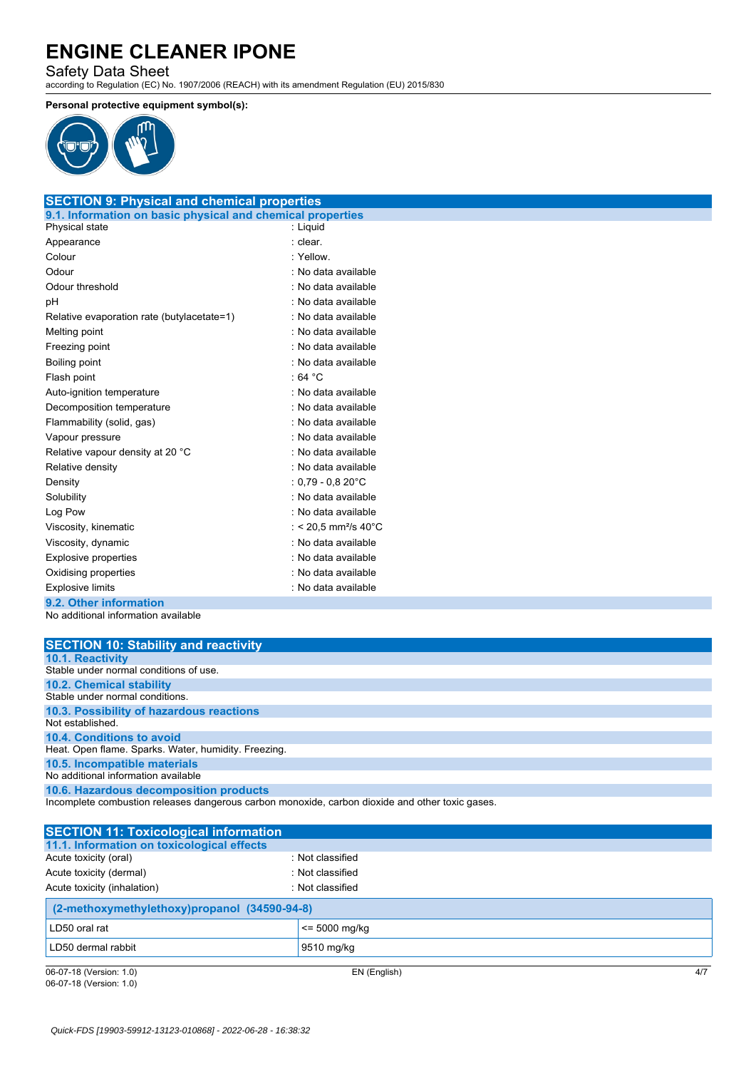Safety Data Sheet according to Regulation (EC) No. 1907/2006 (REACH) with its amendment Regulation (EU) 2015/830

### **Personal protective equipment symbol(s):**



| <b>SECTION 9: Physical and chemical properties</b>         |                                  |
|------------------------------------------------------------|----------------------------------|
| 9.1. Information on basic physical and chemical properties |                                  |
| Physical state                                             | : Liguid                         |
| Appearance                                                 | : clear.                         |
| Colour                                                     | : Yellow.                        |
| Odour                                                      | : No data available              |
| Odour threshold                                            | : No data available              |
| рH                                                         | : No data available              |
| Relative evaporation rate (butylacetate=1)                 | : No data available              |
| Melting point                                              | : No data available              |
| Freezing point                                             | : No data available              |
| Boiling point                                              | : No data available              |
| Flash point                                                | .64 °C                           |
| Auto-ignition temperature                                  | : No data available              |
| Decomposition temperature                                  | : No data available              |
| Flammability (solid, gas)                                  | : No data available              |
| Vapour pressure                                            | : No data available              |
| Relative vapour density at 20 °C                           | : No data available              |
| Relative density                                           | : No data available              |
| Density                                                    | : $0.79$ - $0.820^{\circ}$ C     |
| Solubility                                                 | : No data available              |
| Log Pow                                                    | : No data available              |
| Viscosity, kinematic                                       | : < 20,5 mm <sup>2</sup> /s 40°C |
| Viscosity, dynamic                                         | : No data available              |
| <b>Explosive properties</b>                                | : No data available              |
| Oxidising properties                                       | : No data available              |
| <b>Explosive limits</b>                                    | : No data available              |
| 9.2. Other information                                     |                                  |

No additional information available

| <b>SECTION 10: Stability and reactivity</b>          |
|------------------------------------------------------|
| <b>10.1. Reactivity</b>                              |
| Stable under normal conditions of use.               |
| <b>10.2. Chemical stability</b>                      |
| Stable under normal conditions.                      |
| 10.3. Possibility of hazardous reactions             |
| Not established.                                     |
| 10.4. Conditions to avoid                            |
| Heat. Open flame. Sparks. Water, humidity. Freezing. |
| 10.5. Incompatible materials                         |
| No additional information available                  |
| 10.6. Hazardous decomposition products               |

Incomplete combustion releases dangerous carbon monoxide, carbon dioxide and other toxic gases.

| <b>SECTION 11: Toxicological information</b> |                  |  |
|----------------------------------------------|------------------|--|
| 11.1. Information on toxicological effects   |                  |  |
| Acute toxicity (oral)                        | : Not classified |  |
| Acute toxicity (dermal)                      | : Not classified |  |
| Acute toxicity (inhalation)                  | : Not classified |  |
| (2-methoxymethylethoxy)propanol (34590-94-8) |                  |  |
| LD50 oral rat                                | $\le$ 5000 mg/kg |  |
| LD50 dermal rabbit                           | 9510 mg/kg       |  |
|                                              |                  |  |

06-07-18 (Version: 1.0) EN (English) 4/7 06-07-18 (Version: 1.0)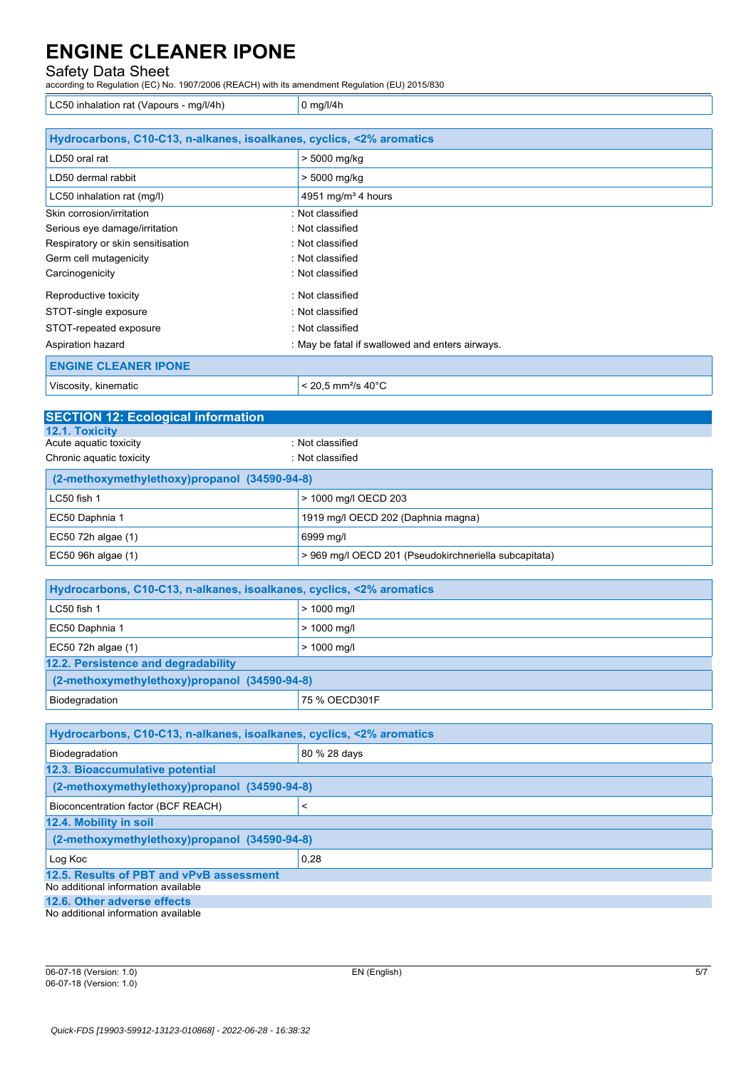Safety Data Sheet according to Regulation (EC) No. 1907/2006 (REACH) with its amendment Regulation (EU) 2015/830

LC50 inhalation rat (Vapours - mg/l/4h)  $\vert$  0 mg/l/4h

| Hydrocarbons, C10-C13, n-alkanes, isoalkanes, cyclics, <2% aromatics |                                                 |  |
|----------------------------------------------------------------------|-------------------------------------------------|--|
| LD50 oral rat                                                        | > 5000 mg/kg                                    |  |
| LD50 dermal rabbit                                                   | > 5000 mg/kg                                    |  |
| LC50 inhalation rat (mg/l)                                           | 4951 mg/m <sup>3</sup> 4 hours                  |  |
| Skin corrosion/irritation                                            | : Not classified                                |  |
| Serious eye damage/irritation                                        | : Not classified                                |  |
| Respiratory or skin sensitisation                                    | : Not classified                                |  |
| Germ cell mutagenicity                                               | : Not classified                                |  |
| Carcinogenicity                                                      | : Not classified                                |  |
| Reproductive toxicity                                                | : Not classified                                |  |
| STOT-single exposure                                                 | : Not classified                                |  |
| STOT-repeated exposure                                               | : Not classified                                |  |
| Aspiration hazard                                                    | : May be fatal if swallowed and enters airways. |  |
| <b>ENGINE CLEANER IPONE</b>                                          |                                                 |  |
| Viscosity, kinematic                                                 | $< 20.5$ mm <sup>2</sup> /s 40 $^{\circ}$ C     |  |

| <b>SECTION 12: Ecological information</b>    |                                                       |  |  |
|----------------------------------------------|-------------------------------------------------------|--|--|
| <b>12.1. Toxicity</b>                        |                                                       |  |  |
| Acute aquatic toxicity                       | : Not classified                                      |  |  |
| Chronic aquatic toxicity                     | : Not classified                                      |  |  |
| (2-methoxymethylethoxy)propanol (34590-94-8) |                                                       |  |  |
| LC50 fish 1                                  | > 1000 mg/l OECD 203                                  |  |  |
| EC50 Daphnia 1                               | 1919 mg/l OECD 202 (Daphnia magna)                    |  |  |
| $EC50$ 72h algae (1)                         | 6999 mg/l                                             |  |  |
| $EC50$ 96h algae (1)                         | > 969 mg/l OECD 201 (Pseudokirchneriella subcapitata) |  |  |

| Hydrocarbons, C10-C13, n-alkanes, isoalkanes, cyclics, <2% aromatics |               |  |
|----------------------------------------------------------------------|---------------|--|
| LC50 fish 1                                                          | $> 1000$ mg/l |  |
| EC50 Daphnia 1                                                       | $> 1000$ mg/l |  |
| $EC50$ 72h algae $(1)$                                               | $> 1000$ mg/l |  |
| 12.2. Persistence and degradability                                  |               |  |
| (2-methoxymethylethoxy)propanol (34590-94-8)                         |               |  |
| Biodegradation<br>75 % OECD301F                                      |               |  |

| Hydrocarbons, C10-C13, n-alkanes, isoalkanes, cyclics, <2% aromatics |              |
|----------------------------------------------------------------------|--------------|
| Biodegradation                                                       | 80 % 28 days |
| 12.3. Bioaccumulative potential                                      |              |
| (2-methoxymethylethoxy)propanol (34590-94-8)                         |              |
| Bioconcentration factor (BCF REACH)                                  |              |
| 12.4. Mobility in soil                                               |              |
| (2-methoxymethylethoxy)propanol (34590-94-8)                         |              |
| Log Koc                                                              | 0,28         |
| 12.5. Results of PBT and vPvB assessment                             |              |
| No additional information available                                  |              |
| 12.6. Other adverse effects                                          |              |

No additional information available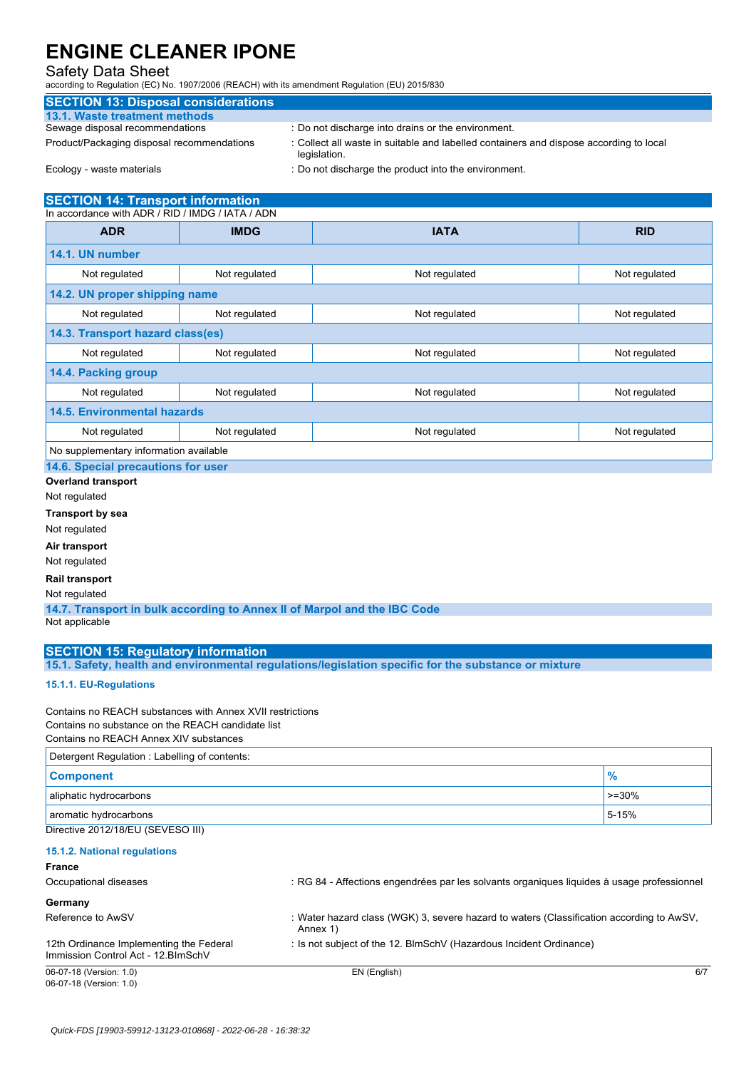### Safety Data Sheet

according to Regulation (EC) No. 1907/2006 (REACH) with its amendment Regulation (EU) 2015/830

# **SECTION 13: Disposal considerations**

# **13.1. Waste treatment methods**

: Do not discharge into drains or the environment.

Product/Packaging disposal recommendations : Collect all waste in suitable and labelled containers and dispose according to local legislation.

Ecology - waste materials **interpretent into the environment.** : Do not discharge the product into the environment.

#### **SECTION 14: Transport information** In accordance with ADR / RID / IMDG / IATA / ADN

| <b>ADR</b>                             | <b>IMDG</b>   | <b>IATA</b>   | <b>RID</b>    |
|----------------------------------------|---------------|---------------|---------------|
| 14.1. UN number                        |               |               |               |
| Not regulated                          | Not regulated | Not regulated | Not regulated |
| 14.2. UN proper shipping name          |               |               |               |
| Not regulated                          | Not regulated | Not regulated | Not regulated |
| 14.3. Transport hazard class(es)       |               |               |               |
| Not regulated                          | Not regulated | Not regulated | Not regulated |
| 14.4. Packing group                    |               |               |               |
| Not regulated                          | Not regulated | Not regulated | Not regulated |
| <b>14.5. Environmental hazards</b>     |               |               |               |
| Not regulated                          | Not regulated | Not regulated | Not regulated |
| No supplementary information available |               |               |               |

**14.6. Special precautions for user**

**Overland transport**

Not regulated

**Transport by sea**

Not regulated

**Air transport**

Not regulated

**Rail transport**

Not regulated

**14.7. Transport in bulk according to Annex II of Marpol and the IBC Code** Not applicable

### **SECTION 15: Regulatory information**

**15.1. Safety, health and environmental regulations/legislation specific for the substance or mixture**

#### **15.1.1. EU-Regulations**

Contains no REACH substances with Annex XVII restrictions Contains no substance on the REACH candidate list

Contains no REACH Annex XIV substances

| Detergent Regulation: Labelling of contents: |          |  |
|----------------------------------------------|----------|--|
| <b>Component</b>                             |          |  |
| aliphatic hydrocarbons                       | $>=30\%$ |  |
| aromatic hydrocarbons                        | 5-15%    |  |
| Directive 2012/18/EU (SEVESO III)            |          |  |

#### **15.1.2. National regulations**

| ×<br>×<br>ł<br>۰, |
|-------------------|
|-------------------|

| 06-07-18 (Version: 1.0)                                                        | EN (English)                                                                                         | 6/7 |
|--------------------------------------------------------------------------------|------------------------------------------------------------------------------------------------------|-----|
| 12th Ordinance Implementing the Federal<br>Immission Control Act - 12. BlmSchV | : Is not subject of the 12. BlmSchV (Hazardous Incident Ordinance)                                   |     |
| Reference to AwSV                                                              | : Water hazard class (WGK) 3, severe hazard to waters (Classification according to AwSV,<br>Annex 1) |     |
| Germany                                                                        |                                                                                                      |     |
| Occupational diseases                                                          | : RG 84 - Affections engendrées par les solvants organiques liquides à usage professionnel           |     |
| .                                                                              |                                                                                                      |     |

06-07-18 (Version: 1.0)